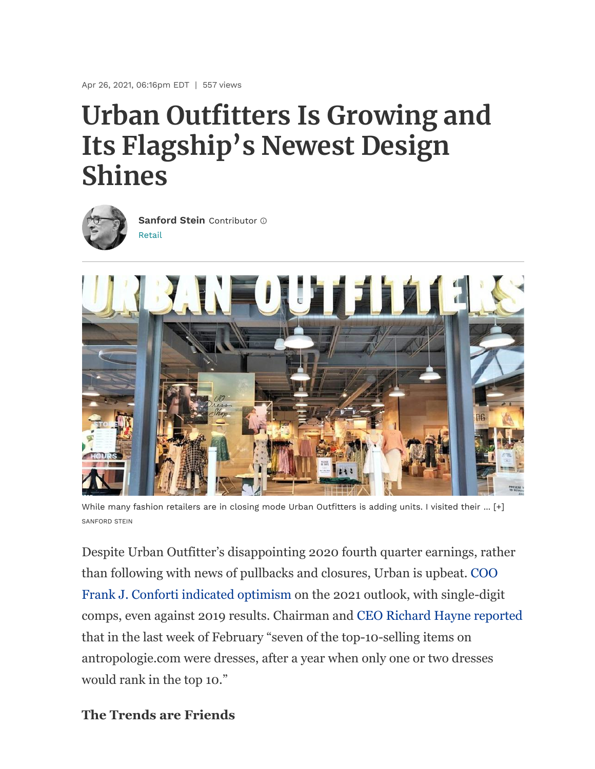Apr 26, 2021, 06:16pm EDT | 557 views

# **Urban Outfitters Is Growing and Its Flagship's Newest Design Shines**



[Retail](https://www.forbes.com/retail) **[Sanford](https://www.forbes.com/sites/sanfordstein/) Stein** Contributor



While many fashion retailers are in closing mode Urban Outfitters is adding units. I visited their ... [+] SANFORD STEIN

Despite Urban Outfitter's disappointing 2020 fourth quarter earnings, rather [than following with news of pullbacks and closures, Urban is upbeat. COO](https://www.entrepreneur.com/article/368729) Frank J. Conforti indicated optimism on the 2021 outlook, with single-digit comps, even against 2019 results. Chairman and [CEO Richard Hayne reported](https://sports.yahoo.com/urban-outfitters-ceo-sees-hope-220547599.html) that in the last week of February "seven of the top-10-selling items on antropologie.com were dresses, after a year when only one or two dresses would rank in the top 10."

**The Trends are Friends**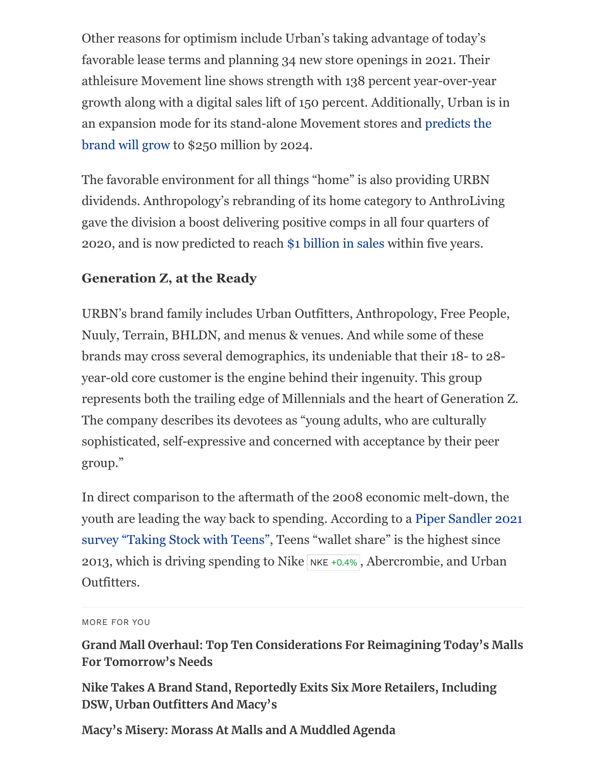Other reasons for optimism include Urban's taking advantage of today's favorable lease terms and planning 34 new store openings in 2021. Their athleisure Movement line shows strength with 138 percent year-over-year growth along with a digital sales lift of 150 percent. Additionally, Urban is in [an expansion mode for its stand-alone Movement stores and predicts the](https://www.shareandstocks.com/urban-outfitters-urbn-q4-earnings-meet-estimates-sales-down/) brand will grow to \$250 million by 2024.

The favorable environment for all things "home" is also providing URBN dividends. Anthropology's rebranding of its home category to AnthroLiving gave the division a boost delivering positive comps in all four quarters of 2020, and is now predicted to reach [\\$1 billion in sales](https://www.fool.com/earnings/call-transcripts/2021/03/02/urban-outfitters-inc-urbn-q4-2020-earnings-call-tr/) within five years.

# **Generation Z, at the Ready**

URBN's brand family includes Urban Outfitters, Anthropology, Free People, Nuuly, Terrain, BHLDN, and menus & venues. And while some of these brands may cross several demographics, its undeniable that their 18- to 28 year-old core customer is the engine behind their ingenuity. This group represents both the trailing edge of Millennials and the heart of Generation Z. The company describes its devotees as "young adults, who are culturally sophisticated, self-expressive and concerned with acceptance by their peer group."

In direct comparison to the aftermath of the 2008 economic melt-down, the [youth are leading the way back to spending. According to a Piper Sandler 2021](https://www.pipersandler.com/1col.aspx?id=6216) survey "Taking Stock with Teens", Teens "wallet share" is the highest since 2013, which is driving spending to Nike  $NKE + 0.4%$  $NKE + 0.4%$ , Abercrombie, and Urban Outfitters.

**[Grand Mall Overhaul: Top Ten Considerations For Reimagining Today's Malls](https://www.forbes.com/sites/sanfordstein/2021/12/27/grand-mall-overhaul-top-ten-considerations-for-reimagining-todays-malls-for-tomorrows-needs/) For Tomorrow's Needs**

**[Nike Takes A Brand Stand, Reportedly Exits Six More Retailers, Including](https://www.forbes.com/sites/sanfordstein/2021/03/26/nike-takes-a-brand-stand-exits-six-more-retailers-including-dsw-urban-outfitters-and-macys/) DSW, Urban Outfitters And Macy's**

**[Macy's Misery: Morass At Malls and A Muddled Agenda](https://www.forbes.com/sites/sanfordstein/2021/01/22/macys-misery-morass-at-malls-and-a-muddled-agenda/)**

MORE FOR YOU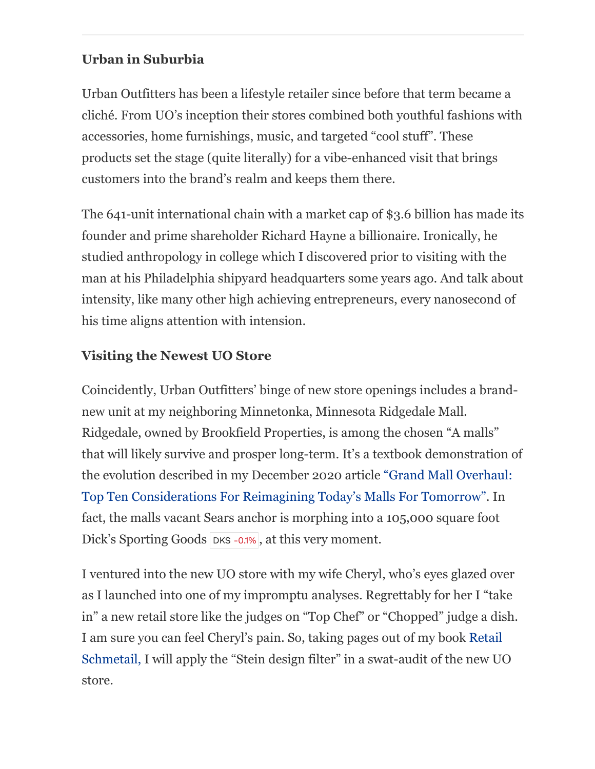#### **Urban in Suburbia**

Urban Outfitters has been a lifestyle retailer since before that term became a cliché. From UO's inception their stores combined both youthful fashions with accessories, home furnishings, music, and targeted "cool stuff". These products set the stage (quite literally) for a vibe-enhanced visit that brings customers into the brand's realm and keeps them there.

The 641-unit international chain with a market cap of \$3.6 billion has made its founder and prime shareholder Richard Hayne a billionaire. Ironically, he studied anthropology in college which I discovered prior to visiting with the man at his Philadelphia shipyard headquarters some years ago. And talk about intensity, like many other high achieving entrepreneurs, every nanosecond of his time aligns attention with intension.

# **Visiting the Newest UO Store**

Coincidently, Urban Outfitters' binge of new store openings includes a brandnew unit at my neighboring Minnetonka, Minnesota Ridgedale Mall. Ridgedale, owned by Brookfield Properties, is among the chosen "A malls" that will likely survive and prosper long-term. It's a textbook demonstration of [the evolution described in my December 2020 article "Grand Mall Overhaul:](https://www.forbes.com/sites/sanfordstein/2021/12/27/grand-mall-overhaul-top-ten-considerations-for-reimagining-todays-malls-for-tomorrows-needs/?sh=5fb05f0546bc) Top Ten Considerations For Reimagining Today's Malls For Tomorrow". In fact, the malls vacant Sears anchor is morphing into a 105,000 square foot Dick's Sporting Goods [DKS](https://www.forbes.com/companies/dicks-sporting-goods) [-0.1%](https://www.forbes.com/companies/dicks-sporting-goods), at this very moment.

I ventured into the new UO store with my wife Cheryl, who's eyes glazed over as I launched into one of my impromptu analyses. Regrettably for her I "take in" a new retail store like the judges on "Top Chef" or "Chopped" judge a dish. [I am sure you can feel Cheryl's pain. So, taking pages out of my book Retail](https://retailspeak.co/book-1) Schmetail, I will apply the "Stein design filter" in a swat-audit of the new UO store.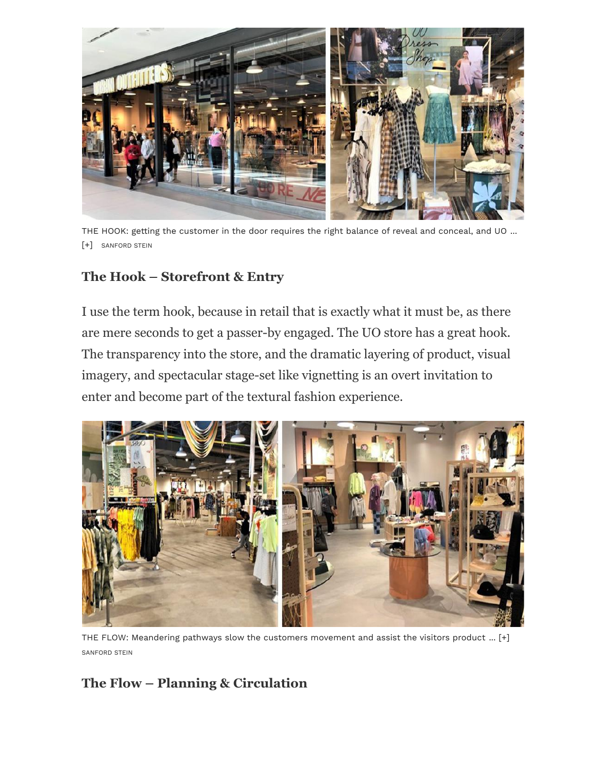

THE HOOK: getting the customer in the door requires the right balance of reveal and conceal, and UO ... [+] SANFORD STEIN

#### **The Hook – Storefront & Entry**

I use the term hook, because in retail that is exactly what it must be, as there are mere seconds to get a passer-by engaged. The UO store has a great hook. The transparency into the store, and the dramatic layering of product, visual imagery, and spectacular stage-set like vignetting is an overt invitation to enter and become part of the textural fashion experience.



THE FLOW: Meandering pathways slow the customers movement and assist the visitors product ... [+] SANFORD STEIN

# **The Flow – Planning & Circulation**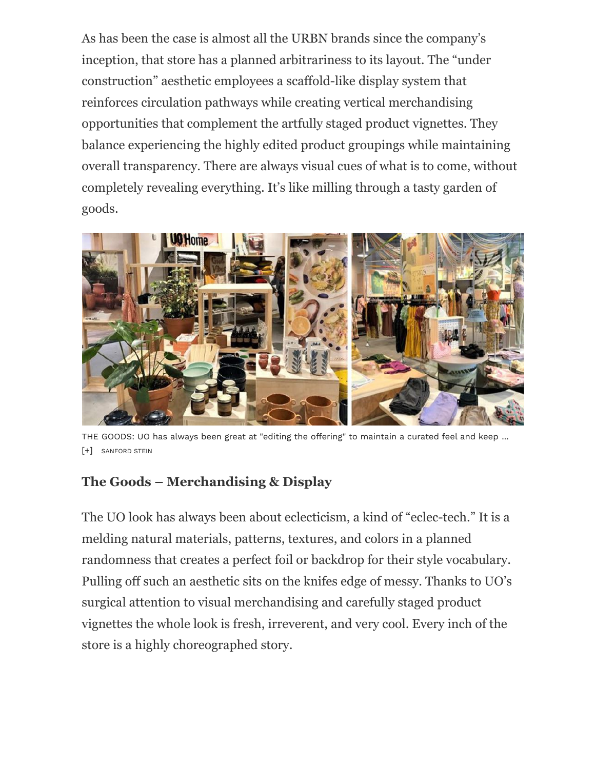As has been the case is almost all the URBN brands since the company's inception, that store has a planned arbitrariness to its layout. The "under construction" aesthetic employees a scaffold-like display system that reinforces circulation pathways while creating vertical merchandising opportunities that complement the artfully staged product vignettes. They balance experiencing the highly edited product groupings while maintaining overall transparency. There are always visual cues of what is to come, without completely revealing everything. It's like milling through a tasty garden of goods.



THE GOODS: UO has always been great at "editing the offering" to maintain a curated feel and keep ... [+] SANFORD STEIN

# **The Goods – Merchandising & Display**

The UO look has always been about eclecticism, a kind of "eclec-tech." It is a melding natural materials, patterns, textures, and colors in a planned randomness that creates a perfect foil or backdrop for their style vocabulary. Pulling off such an aesthetic sits on the knifes edge of messy. Thanks to UO's surgical attention to visual merchandising and carefully staged product vignettes the whole look is fresh, irreverent, and very cool. Every inch of the store is a highly choreographed story.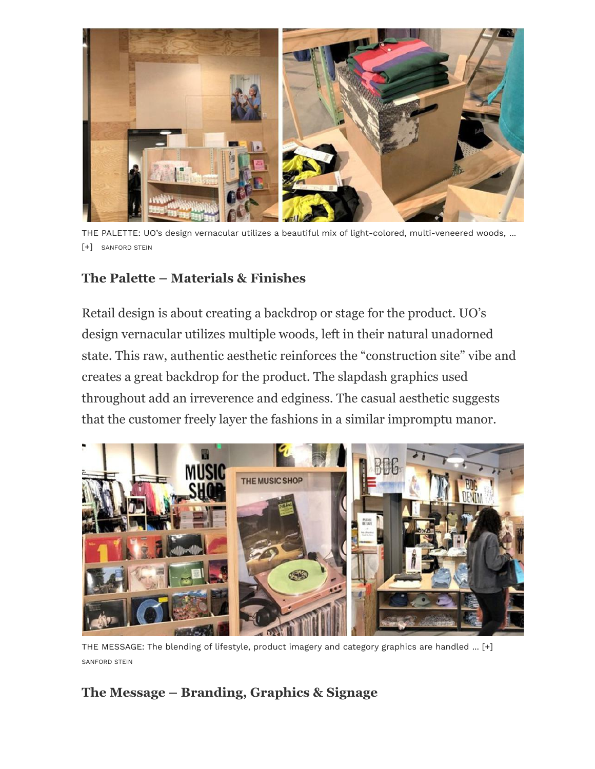

THE PALETTE: UO's design vernacular utilizes a beautiful mix of light-colored, multi-veneered woods, ... [+] SANFORD STEIN

#### **The Palette – Materials & Finishes**

Retail design is about creating a backdrop or stage for the product. UO's design vernacular utilizes multiple woods, left in their natural unadorned state. This raw, authentic aesthetic reinforces the "construction site" vibe and creates a great backdrop for the product. The slapdash graphics used throughout add an irreverence and edginess. The casual aesthetic suggests that the customer freely layer the fashions in a similar impromptu manor.



THE MESSAGE: The blending of lifestyle, product imagery and category graphics are handled ... [+] SANFORD STEIN

# **The Message – Branding, Graphics & Signage**